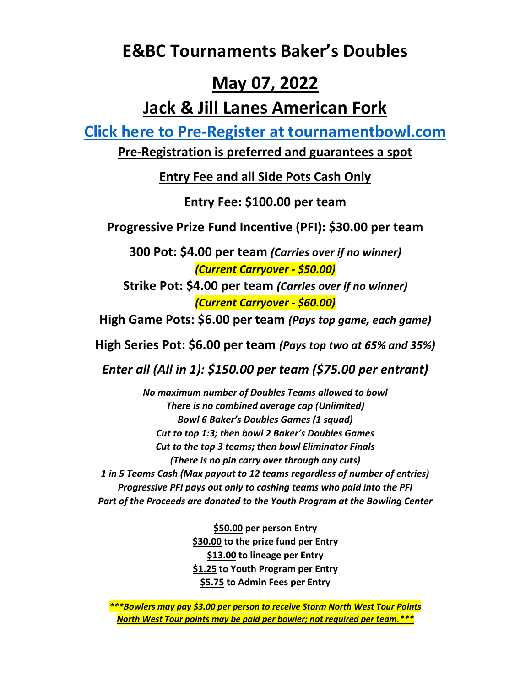## **E&BC Tournaments Baker's Doubles**

## **May 07, 2022**

## **Jack & Jill Lanes American Fork**

**[Click here to Pre-Register at tournamentbowl.com](https://tournamentbowl.com/Open/EntryForm.cfm?ID_Tournament=6513&action=newentry)**

**Pre-Registration is preferred and guarantees a spot**

**Entry Fee and all Side Pots Cash Only**

**Entry Fee: \$100.00 per team**

**Progressive Prize Fund Incentive (PFI): \$30.00 per team**

**300 Pot: \$4.00 per team** *(Carries over if no winner) (Current Carryover - \$50.00)*

**Strike Pot: \$4.00 per team** *(Carries over if no winner) (Current Carryover - \$60.00)*

**High Game Pots: \$6.00 per team** *(Pays top game, each game)*

**High Series Pot: \$6.00 per team** *(Pays top two at 65% and 35%)*

*Enter all (All in 1): \$150.00 per team (\$75.00 per entrant)*

*No maximum number of Doubles Teams allowed to bowl There is no combined average cap (Unlimited) Bowl 6 Baker's Doubles Games (1 squad) Cut to top 1:3; then bowl 2 Baker's Doubles Games Cut to the top 3 teams; then bowl Eliminator Finals (There is no pin carry over through any cuts) 1 in 5 Teams Cash (Max payout to 12 teams regardless of number of entries) Progressive PFI pays out only to cashing teams who paid into the PFI Part of the Proceeds are donated to the Youth Program at the Bowling Center*

> **\$50.00 per person Entry \$30.00 to the prize fund per Entry \$13.00 to lineage per Entry \$1.25 to Youth Program per Entry \$5.75 to Admin Fees per Entry**

*\*\*\*Bowlers may pay \$3.00 per person to receive Storm North West Tour Points North West Tour points may be paid per bowler; not required per team.\*\*\**